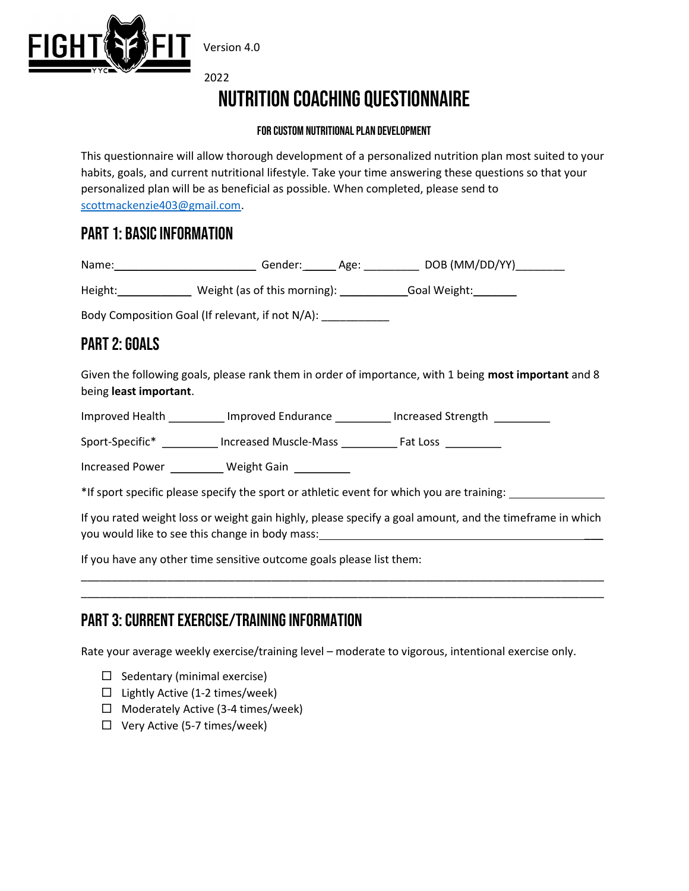

2022

# Nutrition Coaching Questionnaire

#### For custom nutritional plan development

This questionnaire will allow thorough development of a personalized nutrition plan most suited to your habits, goals, and current nutritional lifestyle. Take your time answering these questions so that your personalized plan will be as beneficial as possible. When completed, please send to scottmackenzie403@gmail.com.

#### PART 1: BASIC INFORMATION

| Name: | Gender: | Age: | DOB (MM/DD/YY) |
|-------|---------|------|----------------|
|       |         |      |                |

Height:\_\_\_\_\_\_\_\_\_\_\_\_\_\_\_ Weight (as of this morning): \_\_\_\_\_\_\_\_\_\_\_\_\_\_Goal Weight:\_\_\_\_\_\_\_\_

Body Composition Goal (If relevant, if not N/A):

## PART 2: GOALS

Given the following goals, please rank them in order of importance, with 1 being most important and 8 being least important.

Improved Health **Improved Endurance** Increased Strength

Sport-Specific\* \_\_\_\_\_\_\_\_\_ Increased Muscle-Mass \_\_\_\_\_\_\_\_\_ Fat Loss \_\_\_\_\_\_\_\_\_

Increased Power \_\_\_\_\_\_\_\_\_\_ Weight Gain \_\_\_\_\_\_\_\_\_\_

\*If sport specific please specify the sport or athletic event for which you are training:

If you rated weight loss or weight gain highly, please specify a goal amount, and the timeframe in which you would like to see this change in body mass:

\_\_\_\_\_\_\_\_\_\_\_\_\_\_\_\_\_\_\_\_\_\_\_\_\_\_\_\_\_\_\_\_\_\_\_\_\_\_\_\_\_\_\_\_\_\_\_\_\_\_\_\_\_\_\_\_\_\_\_\_\_\_\_\_\_\_\_\_\_\_\_\_\_\_\_\_\_\_\_\_\_\_\_\_\_ \_\_\_\_\_\_\_\_\_\_\_\_\_\_\_\_\_\_\_\_\_\_\_\_\_\_\_\_\_\_\_\_\_\_\_\_\_\_\_\_\_\_\_\_\_\_\_\_\_\_\_\_\_\_\_\_\_\_\_\_\_\_\_\_\_\_\_\_\_\_\_\_\_\_\_\_\_\_\_\_\_\_\_\_\_

If you have any other time sensitive outcome goals please list them:

# PART 3: CURRENT EXERCISE/TRAINING INFORMATION

Rate your average weekly exercise/training level – moderate to vigorous, intentional exercise only.

- $\Box$  Sedentary (minimal exercise)
- $\Box$  Lightly Active (1-2 times/week)
- $\Box$  Moderately Active (3-4 times/week)
- $\Box$  Very Active (5-7 times/week)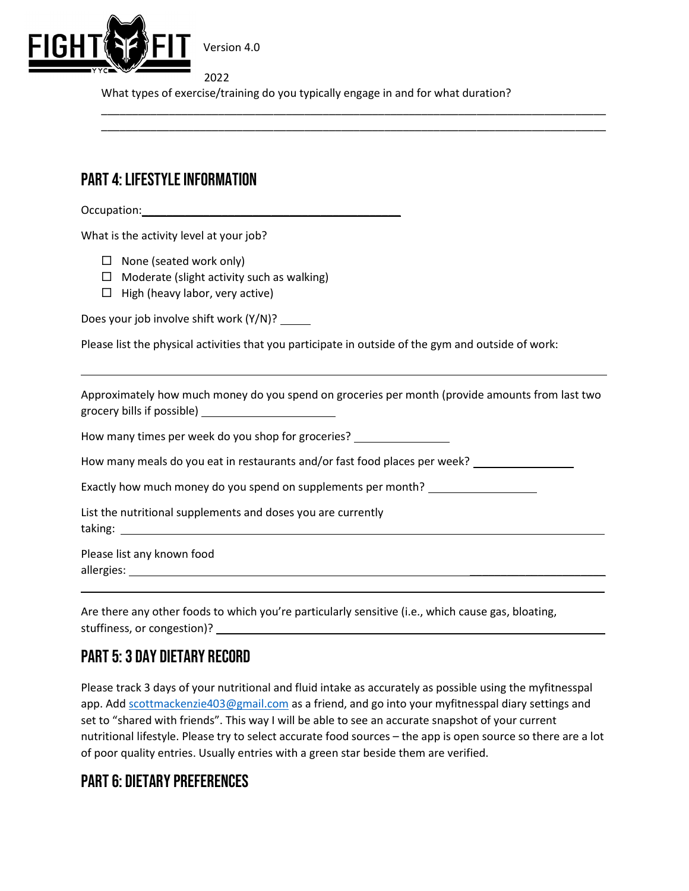

2022 What types of exercise/training do you typically engage in and for what duration?

\_\_\_\_\_\_\_\_\_\_\_\_\_\_\_\_\_\_\_\_\_\_\_\_\_\_\_\_\_\_\_\_\_\_\_\_\_\_\_\_\_\_\_\_\_\_\_\_\_\_\_\_\_\_\_\_\_\_\_\_\_\_\_\_\_\_\_\_\_\_\_\_\_\_\_\_\_\_\_\_\_\_ \_\_\_\_\_\_\_\_\_\_\_\_\_\_\_\_\_\_\_\_\_\_\_\_\_\_\_\_\_\_\_\_\_\_\_\_\_\_\_\_\_\_\_\_\_\_\_\_\_\_\_\_\_\_\_\_\_\_\_\_\_\_\_\_\_\_\_\_\_\_\_\_\_\_\_\_\_\_\_\_\_\_

### PART 4: LIFESTYLE INFORMATION

Occupation:\_\_\_\_\_\_\_\_\_\_\_\_\_\_\_\_\_\_\_\_\_\_\_\_\_\_\_\_\_\_\_\_\_\_\_\_\_\_\_\_\_\_

 $\overline{a}$ 

What is the activity level at your job?

- $\Box$  None (seated work only)
- $\Box$  Moderate (slight activity such as walking)
- $\Box$  High (heavy labor, very active)

Does your job involve shift work (Y/N)? \_\_\_\_\_

Please list the physical activities that you participate in outside of the gym and outside of work:

Approximately how much money do you spend on groceries per month (provide amounts from last two grocery bills if possible)

How many times per week do you shop for groceries? \_\_\_\_\_\_\_\_\_\_\_\_\_\_\_\_\_\_\_\_\_\_\_\_\_\_\_\_\_

How many meals do you eat in restaurants and/or fast food places per week?

Exactly how much money do you spend on supplements per month?

List the nutritional supplements and doses you are currently taking: The contract of the contract of the contract of the contract of the contract of the contract of the contract of the contract of the contract of the contract of the contract of the contract of the contract of the co

Please list any known food allergies: \_\_\_\_\_\_\_\_\_\_\_\_\_\_\_\_\_\_\_\_\_\_

Are there any other foods to which you're particularly sensitive (i.e., which cause gas, bloating, stuffiness, or congestion)?

### PART 5: 3 DAY DIETARY RECORD

Please track 3 days of your nutritional and fluid intake as accurately as possible using the myfitnesspal app. Add scottmackenzie403@gmail.com as a friend, and go into your myfitnesspal diary settings and set to "shared with friends". This way I will be able to see an accurate snapshot of your current nutritional lifestyle. Please try to select accurate food sources – the app is open source so there are a lot of poor quality entries. Usually entries with a green star beside them are verified.

\_\_\_\_\_\_\_\_\_\_\_\_\_\_\_\_\_\_\_\_\_\_\_\_\_\_\_\_\_\_\_\_\_\_\_\_\_\_\_\_\_\_\_\_\_\_\_\_\_\_\_\_\_\_\_\_\_\_\_\_\_\_\_\_\_\_\_\_\_\_\_\_\_\_\_\_\_\_\_\_\_\_\_\_\_

#### PART 6: Dietary preferences